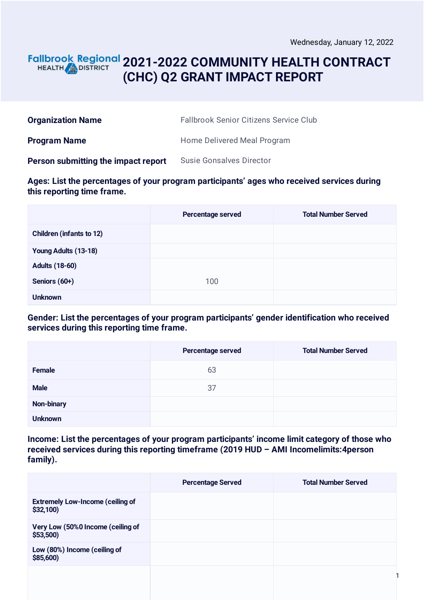### **2021-2022 COMMUNITY HEALTH CONTRACT** HEALTH **in DISTRICT (CHC) Q2 GRANT IMPACT REPORT**

| <b>Organization Name</b>            | <b>Fallbrook Senior Citizens Service Club</b> |
|-------------------------------------|-----------------------------------------------|
| <b>Program Name</b>                 | Home Delivered Meal Program                   |
| Person submitting the impact report | <b>Susie Gonsalves Director</b>               |

**Ages: List the percentages of your program participants' ages who received services during this reporting time frame.**

|                                 | <b>Percentage served</b> | <b>Total Number Served</b> |
|---------------------------------|--------------------------|----------------------------|
| <b>Children (infants to 12)</b> |                          |                            |
| Young Adults (13-18)            |                          |                            |
| <b>Adults (18-60)</b>           |                          |                            |
| Seniors (60+)                   | 100                      |                            |
| <b>Unknown</b>                  |                          |                            |

**Gender: List the percentages of your program participants' gender identification who received services during this reporting time frame.**

|                | Percentage served | <b>Total Number Served</b> |
|----------------|-------------------|----------------------------|
| Female         | 63                |                            |
| <b>Male</b>    | 37                |                            |
| Non-binary     |                   |                            |
| <b>Unknown</b> |                   |                            |

**Income: List the percentages of your program participants' income limit category of those who received services during this reporting timeframe (2019 HUD – AMI Incomelimits:4person family).**

|                                                     | <b>Percentage Served</b> | <b>Total Number Served</b> |
|-----------------------------------------------------|--------------------------|----------------------------|
| <b>Extremely Low-Income (ceiling of</b><br>\$32,100 |                          |                            |
| Very Low (50%0 Income (ceiling of<br>\$53,500       |                          |                            |
| Low (80%) Income (ceiling of<br>\$85,600            |                          |                            |
|                                                     |                          |                            |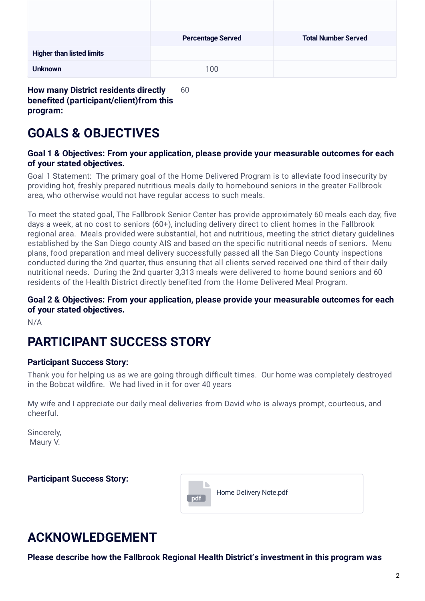|                                  | <b>Percentage Served</b> | <b>Total Number Served</b> |
|----------------------------------|--------------------------|----------------------------|
| <b>Higher than listed limits</b> |                          |                            |
| <b>Unknown</b>                   | 100                      |                            |

**How many District residents directly benefited (participant/client)from this program:** 60

# **GOALS & OBJECTIVES**

#### **Goal 1 & Objectives: From your application, please provide your measurable outcomes for each of your stated objectives.**

Goal 1 Statement: The primary goal of the Home Delivered Program is to alleviate food insecurity by providing hot, freshly prepared nutritious meals daily to homebound seniors in the greater Fallbrook area, who otherwise would not have regular access to such meals.

To meet the stated goal, The Fallbrook Senior Center has provide approximately 60 meals each day, five days a week, at no cost to seniors (60+), including delivery direct to client homes in the Fallbrook regional area. Meals provided were substantial, hot and nutritious, meeting the strict dietary guidelines established by the San Diego county AIS and based on the specific nutritional needs of seniors. Menu plans, food preparation and meal delivery successfully passed all the San Diego County inspections conducted during the 2nd quarter, thus ensuring that all clients served received one third of their daily nutritional needs. During the 2nd quarter 3,313 meals were delivered to home bound seniors and 60 residents of the Health District directly benefited from the Home Delivered Meal Program.

### **Goal 2 & Objectives: From your application, please provide your measurable outcomes for each of your stated objectives.**

N/A

# **PARTICIPANT SUCCESS STORY**

### **Participant Success Story:**

Thank you for helping us as we are going through difficult times. Our home was completely destroyed in the Bobcat wildfire. We had lived in it for over 40 years

My wife and I appreciate our daily meal deliveries from David who is always prompt, courteous, and cheerful.

Sincerely, Maury V.

**Participant Success Story:**



# **ACKNOWLEDGEMENT**

**Please describe how the Fallbrook Regional Health District's investment in this program was**